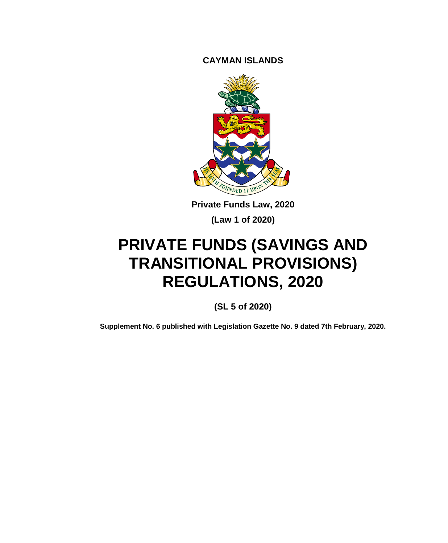**CAYMAN ISLANDS**



**Private Funds Law, 2020**

**(Law 1 of 2020)**

# **PRIVATE FUNDS (SAVINGS AND TRANSITIONAL PROVISIONS) REGULATIONS, 2020**

**(SL 5 of 2020)**

**Supplement No. 6 published with Legislation Gazette No. 9 dated 7th February, 2020.**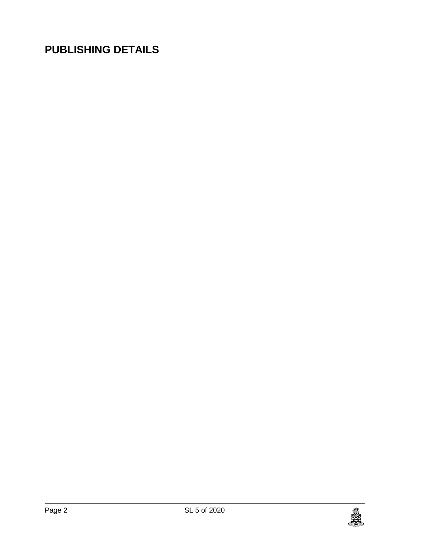### **PUBLISHING DETAILS**

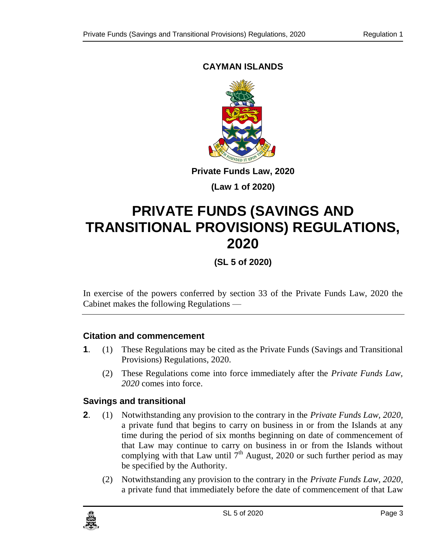### **CAYMAN ISLANDS**



**Private Funds Law, 2020**

**(Law 1 of 2020)**

## **PRIVATE FUNDS (SAVINGS AND TRANSITIONAL PROVISIONS) REGULATIONS, 2020**

**(SL 5 of 2020)**

In exercise of the powers conferred by section 33 of the Private Funds Law, 2020 the Cabinet makes the following Regulations —

#### **1. Citation and commencement**

- **1**. (1) These Regulations may be cited as the Private Funds (Savings and Transitional Provisions) Regulations, 2020.
	- (2) These Regulations come into force immediately after the *Private Funds Law, 2020* comes into force.

### **2. Savings and transitional**

- **2**. (1) Notwithstanding any provision to the contrary in the *Private Funds Law, 2020,* a private fund that begins to carry on business in or from the Islands at any time during the period of six months beginning on date of commencement of that Law may continue to carry on business in or from the Islands without complying with that Law until  $7<sup>th</sup>$  August, 2020 or such further period as may be specified by the Authority.
	- (2) Notwithstanding any provision to the contrary in the *Private Funds Law, 2020*, a private fund that immediately before the date of commencement of that Law